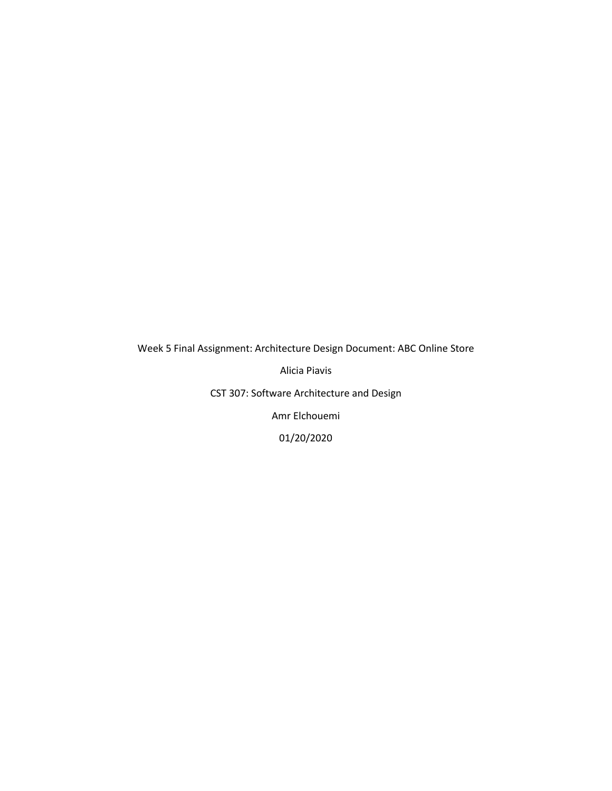Week 5 Final Assignment: Architecture Design Document: ABC Online Store

Alicia Piavis

CST 307: Software Architecture and Design

Amr Elchouemi

01/20/2020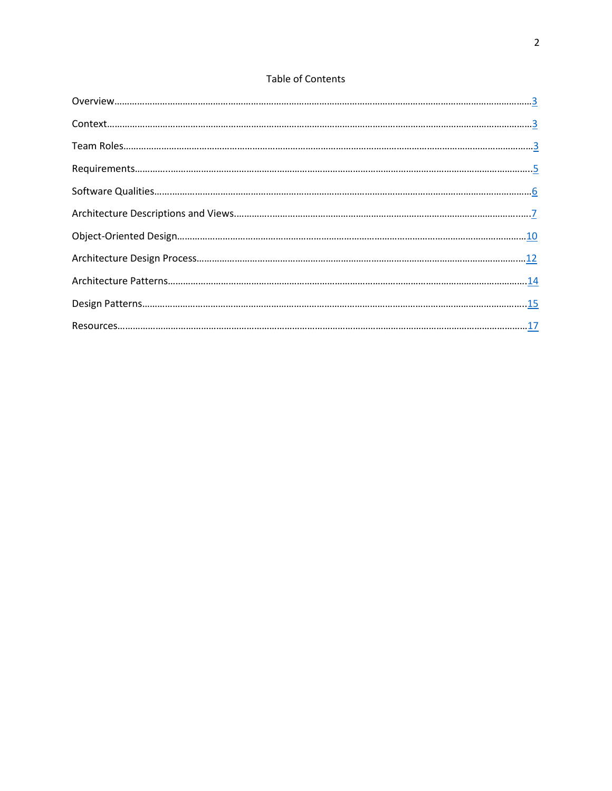## **Table of Contents**

| $\begin{minipage}[c]{0} \begin{tabular}{l} \textbf{O} \textbf{verview} \end{tabular} \end{minipage} \begin{minipage}[c]{0.9\linewidth} \textbf{O} \textbf{verview} \end{minipage} \end{minipage} \begin{minipage}[c]{0.9\linewidth} \textbf{O} \textbf{verview} \end{minipage} \begin{minipage}[c]{0.9\linewidth} \textbf{O} \textbf{verview} \end{minipage} \begin{minipage}[c]{0.9\linewidth} \textbf{O} \textbf{verview} \end{minipage} \end{minipage} \begin{minipage}[c]{0.9\linewidth} \textbf{O}$ |
|----------------------------------------------------------------------------------------------------------------------------------------------------------------------------------------------------------------------------------------------------------------------------------------------------------------------------------------------------------------------------------------------------------------------------------------------------------------------------------------------------------|
|                                                                                                                                                                                                                                                                                                                                                                                                                                                                                                          |
|                                                                                                                                                                                                                                                                                                                                                                                                                                                                                                          |
|                                                                                                                                                                                                                                                                                                                                                                                                                                                                                                          |
|                                                                                                                                                                                                                                                                                                                                                                                                                                                                                                          |
|                                                                                                                                                                                                                                                                                                                                                                                                                                                                                                          |
|                                                                                                                                                                                                                                                                                                                                                                                                                                                                                                          |
|                                                                                                                                                                                                                                                                                                                                                                                                                                                                                                          |
|                                                                                                                                                                                                                                                                                                                                                                                                                                                                                                          |
|                                                                                                                                                                                                                                                                                                                                                                                                                                                                                                          |
|                                                                                                                                                                                                                                                                                                                                                                                                                                                                                                          |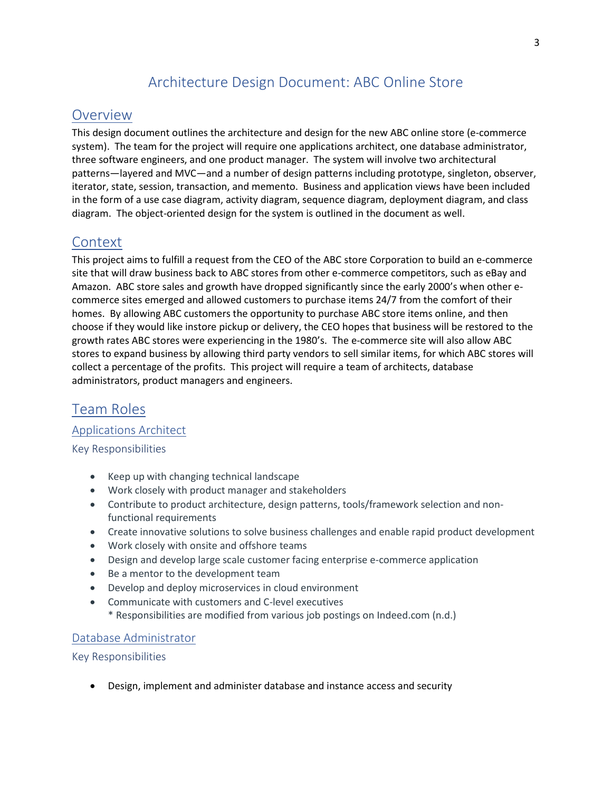# Architecture Design Document: ABC Online Store

## <span id="page-2-0"></span>**Overview**

This design document outlines the architecture and design for the new ABC online store (e-commerce system). The team for the project will require one applications architect, one database administrator, three software engineers, and one product manager. The system will involve two architectural patterns—layered and MVC—and a number of design patterns including prototype, singleton, observer, iterator, state, session, transaction, and memento. Business and application views have been included in the form of a use case diagram, activity diagram, sequence diagram, deployment diagram, and class diagram. The object-oriented design for the system is outlined in the document as well.

# <span id="page-2-1"></span>**Context**

This project aims to fulfill a request from the CEO of the ABC store Corporation to build an e-commerce site that will draw business back to ABC stores from other e-commerce competitors, such as eBay and Amazon. ABC store sales and growth have dropped significantly since the early 2000's when other ecommerce sites emerged and allowed customers to purchase items 24/7 from the comfort of their homes. By allowing ABC customers the opportunity to purchase ABC store items online, and then choose if they would like instore pickup or delivery, the CEO hopes that business will be restored to the growth rates ABC stores were experiencing in the 1980's. The e-commerce site will also allow ABC stores to expand business by allowing third party vendors to sell similar items, for which ABC stores will collect a percentage of the profits. This project will require a team of architects, database administrators, product managers and engineers.

# <span id="page-2-2"></span>Team Roles

Applications Architect

Key Responsibilities

- Keep up with changing technical landscape
- Work closely with product manager and stakeholders
- Contribute to product architecture, design patterns, tools/framework selection and nonfunctional requirements
- Create innovative solutions to solve business challenges and enable rapid product development
- Work closely with onsite and offshore teams
- Design and develop large scale customer facing enterprise e-commerce application
- Be a mentor to the development team
- Develop and deploy microservices in cloud environment
- Communicate with customers and C-level executives
	- \* Responsibilities are modified from various job postings on Indeed.com (n.d.)

## Database Administrator

### Key Responsibilities

• Design, implement and administer database and instance access and security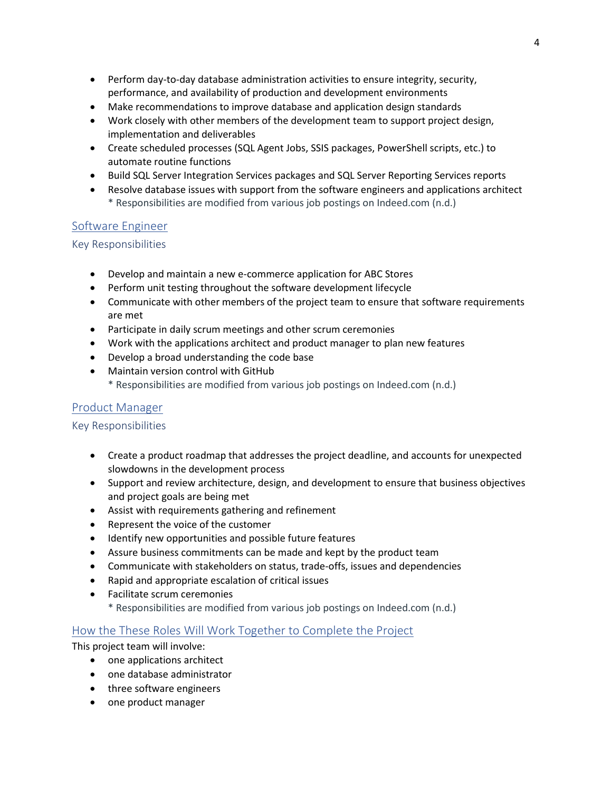- Perform day-to-day database administration activities to ensure integrity, security, performance, and availability of production and development environments
- Make recommendations to improve database and application design standards
- Work closely with other members of the development team to support project design, implementation and deliverables
- Create scheduled processes (SQL Agent Jobs, SSIS packages, PowerShell scripts, etc.) to automate routine functions
- Build SQL Server Integration Services packages and SQL Server Reporting Services reports
- Resolve database issues with support from the software engineers and applications architect \* Responsibilities are modified from various job postings on Indeed.com (n.d.)

## Software Engineer

### Key Responsibilities

- Develop and maintain a new e-commerce application for ABC Stores
- Perform unit testing throughout the software development lifecycle
- Communicate with other members of the project team to ensure that software requirements are met
- Participate in daily scrum meetings and other scrum ceremonies
- Work with the applications architect and product manager to plan new features
- Develop a broad understanding the code base
- Maintain version control with GitHub
	- \* Responsibilities are modified from various job postings on Indeed.com (n.d.)

## Product Manager

### Key Responsibilities

- Create a product roadmap that addresses the project deadline, and accounts for unexpected slowdowns in the development process
- Support and review architecture, design, and development to ensure that business objectives and project goals are being met
- Assist with requirements gathering and refinement
- Represent the voice of the customer
- Identify new opportunities and possible future features
- Assure business commitments can be made and kept by the product team
- Communicate with stakeholders on status, trade-offs, issues and dependencies
- Rapid and appropriate escalation of critical issues
- Facilitate scrum ceremonies
	- \* Responsibilities are modified from various job postings on Indeed.com (n.d.)

## How the These Roles Will Work Together to Complete the Project

This project team will involve:

- one applications architect
- one database administrator
- three software engineers
- one product manager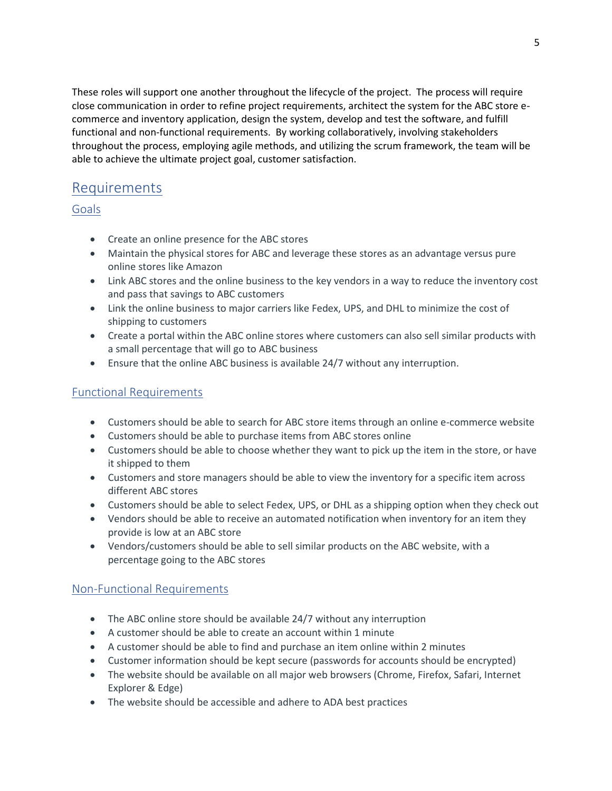These roles will support one another throughout the lifecycle of the project. The process will require close communication in order to refine project requirements, architect the system for the ABC store ecommerce and inventory application, design the system, develop and test the software, and fulfill functional and non-functional requirements. By working collaboratively, involving stakeholders throughout the process, employing agile methods, and utilizing the scrum framework, the team will be able to achieve the ultimate project goal, customer satisfaction.

# <span id="page-4-0"></span>Requirements

Goals

- Create an online presence for the ABC stores
- Maintain the physical stores for ABC and leverage these stores as an advantage versus pure online stores like Amazon
- Link ABC stores and the online business to the key vendors in a way to reduce the inventory cost and pass that savings to ABC customers
- Link the online business to major carriers like Fedex, UPS, and DHL to minimize the cost of shipping to customers
- Create a portal within the ABC online stores where customers can also sell similar products with a small percentage that will go to ABC business
- Ensure that the online ABC business is available 24/7 without any interruption.

## Functional Requirements

- Customers should be able to search for ABC store items through an online e-commerce website
- Customers should be able to purchase items from ABC stores online
- Customers should be able to choose whether they want to pick up the item in the store, or have it shipped to them
- Customers and store managers should be able to view the inventory for a specific item across different ABC stores
- Customers should be able to select Fedex, UPS, or DHL as a shipping option when they check out
- Vendors should be able to receive an automated notification when inventory for an item they provide is low at an ABC store
- Vendors/customers should be able to sell similar products on the ABC website, with a percentage going to the ABC stores

## Non-Functional Requirements

- The ABC online store should be available 24/7 without any interruption
- A customer should be able to create an account within 1 minute
- A customer should be able to find and purchase an item online within 2 minutes
- Customer information should be kept secure (passwords for accounts should be encrypted)
- The website should be available on all major web browsers (Chrome, Firefox, Safari, Internet Explorer & Edge)
- The website should be accessible and adhere to ADA best practices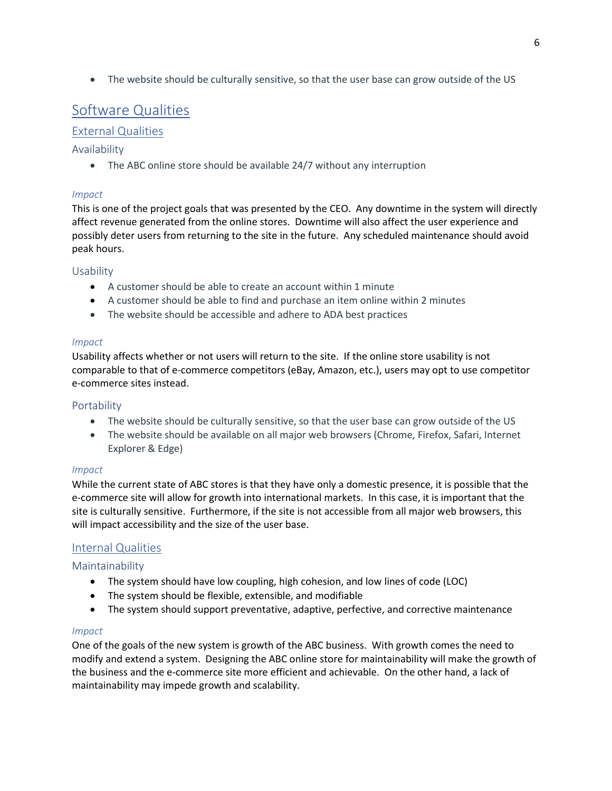• The website should be culturally sensitive, so that the user base can grow outside of the US

# <span id="page-5-0"></span>Software Qualities

## External Qualities

## Availability

• The ABC online store should be available 24/7 without any interruption

### *Impact*

This is one of the project goals that was presented by the CEO. Any downtime in the system will directly affect revenue generated from the online stores. Downtime will also affect the user experience and possibly deter users from returning to the site in the future. Any scheduled maintenance should avoid peak hours.

### Usability

- A customer should be able to create an account within 1 minute
- A customer should be able to find and purchase an item online within 2 minutes
- The website should be accessible and adhere to ADA best practices

### *Impact*

Usability affects whether or not users will return to the site. If the online store usability is not comparable to that of e-commerce competitors (eBay, Amazon, etc.), users may opt to use competitor e-commerce sites instead.

### Portability

- The website should be culturally sensitive, so that the user base can grow outside of the US
- The website should be available on all major web browsers (Chrome, Firefox, Safari, Internet Explorer & Edge)

### *Impact*

While the current state of ABC stores is that they have only a domestic presence, it is possible that the e-commerce site will allow for growth into international markets. In this case, it is important that the site is culturally sensitive. Furthermore, if the site is not accessible from all major web browsers, this will impact accessibility and the size of the user base.

## Internal Qualities

## Maintainability

- The system should have low coupling, high cohesion, and low lines of code (LOC)
- The system should be flexible, extensible, and modifiable
- The system should support preventative, adaptive, perfective, and corrective maintenance

### *Impact*

One of the goals of the new system is growth of the ABC business. With growth comes the need to modify and extend a system. Designing the ABC online store for maintainability will make the growth of the business and the e-commerce site more efficient and achievable. On the other hand, a lack of maintainability may impede growth and scalability.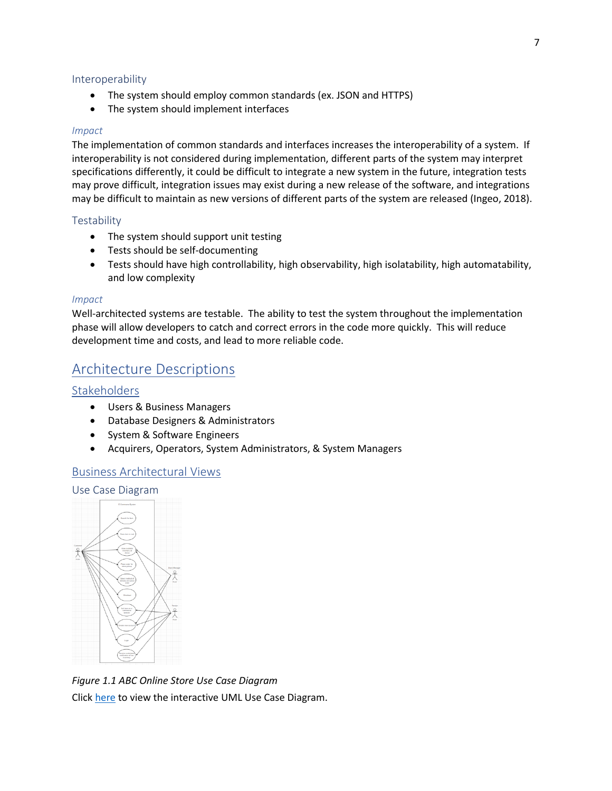#### Interoperability

- The system should employ common standards (ex. JSON and HTTPS)
- The system should implement interfaces

#### *Impact*

The implementation of common standards and interfaces increases the interoperability of a system. If interoperability is not considered during implementation, different parts of the system may interpret specifications differently, it could be difficult to integrate a new system in the future, integration tests may prove difficult, integration issues may exist during a new release of the software, and integrations may be difficult to maintain as new versions of different parts of the system are released (Ingeo, 2018).

#### **Testability**

- The system should support unit testing
- Tests should be self-documenting
- Tests should have high controllability, high observability, high isolatability, high automatability, and low complexity

#### *Impact*

Well-architected systems are testable. The ability to test the system throughout the implementation phase will allow developers to catch and correct errors in the code more quickly. This will reduce development time and costs, and lead to more reliable code.

# <span id="page-6-0"></span>Architecture Descriptions

### **Stakeholders**

- Users & Business Managers
- Database Designers & Administrators
- System & Software Engineers
- Acquirers, Operators, System Administrators, & System Managers

### Business Architectural Views

#### Use Case Diagram



*Figure 1.1 ABC Online Store Use Case Diagram* Click [here](https://drive.google.com/file/d/1i4hIrGvO827u3qY3fYZqxiA-7Se_LjGY/view?usp=sharing) to view the interactive UML Use Case Diagram.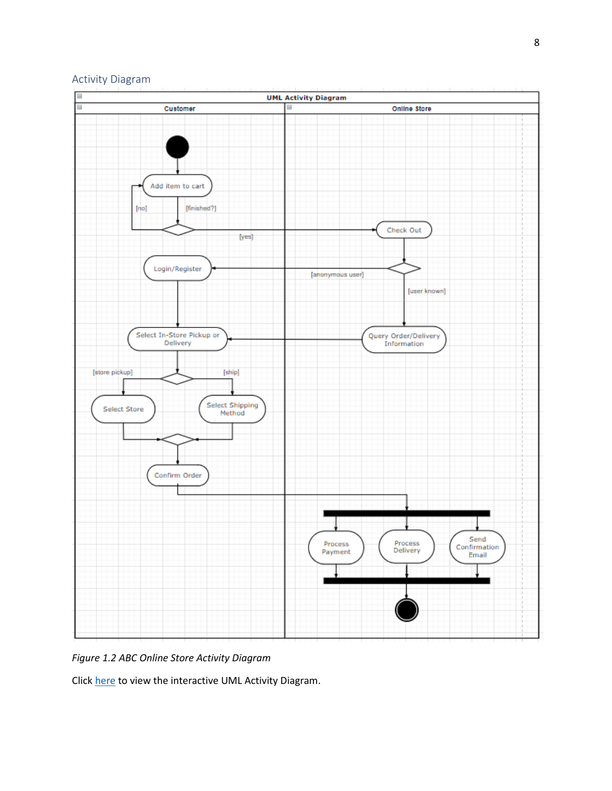



*Figure 1.2 ABC Online Store Activity Diagram*

Click [here](https://drive.google.com/file/d/1qdpYCDyklpILNA-mBNUXvRGQx9Rltsrs/view?usp=sharing) to view the interactive UML Activity Diagram.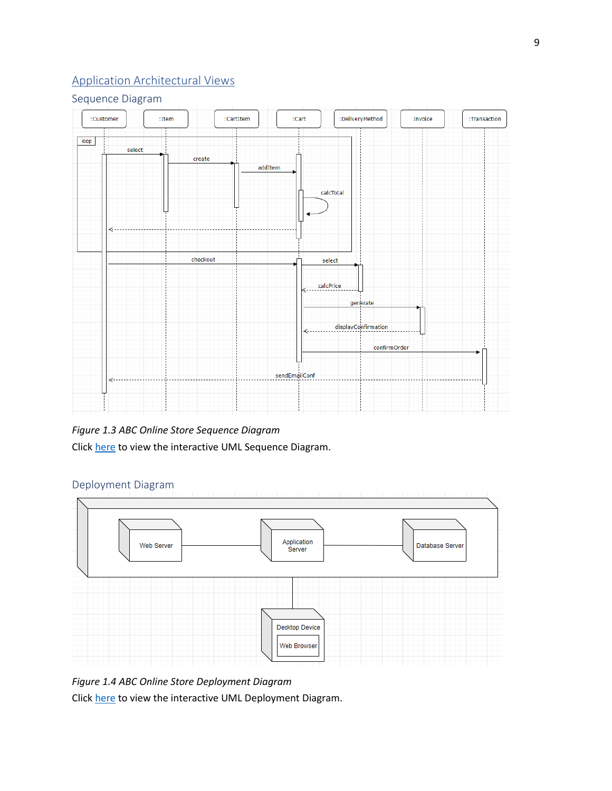## Application Architectural Views

## Sequence Diagram



## *Figure 1.3 ABC Online Store Sequence Diagram*

Click [here](https://drive.google.com/file/d/14ID7wf5veWfjs-HhNMrnSKqFbe1kMEK6/view?usp=sharing) to view the interactive UML Sequence Diagram.

## Deployment Diagram



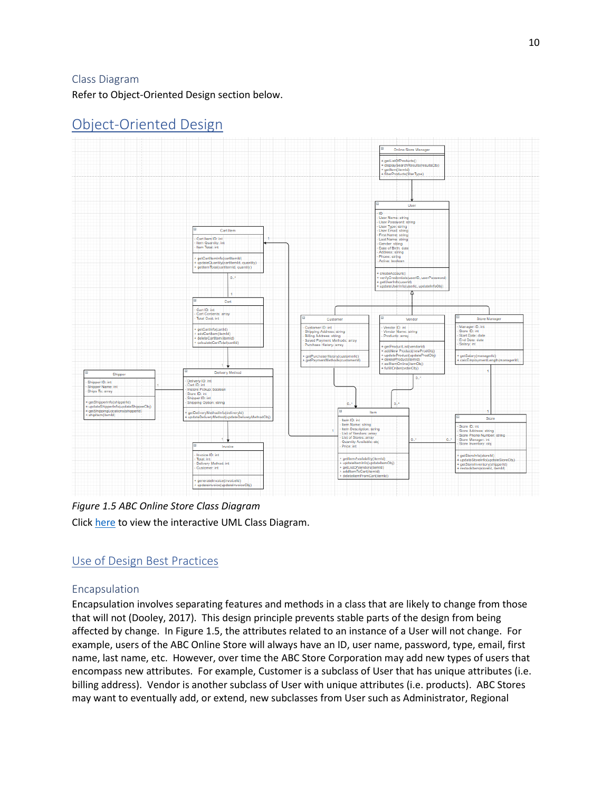### Class Diagram

Refer to Object-Oriented Design section below.

#### Online Store Ma etListOfProducts()  $\frac{1}{100}$ erType) r Name: string r Type):<br>r Email: Cart It Cart Item ID: int<br>Item Quantity: int<br>Item Total: int :mInfo(cartitemid)<br>:antity(cartitemid, qu string ltemid, qu createAccount() **J.** updat Cart ID: int<br>Cart Contents: array<br>Total Cost: int int ID: int or ID: int<br>or Name: string etCartInfo(cartId) ngern<br>⊦lD: int oducts: array haseHistory( icEmpl Delivery ID: int<br>Cart ID: int pper ID: int<br>pper Name: int<br>ps To: array Cart ID: int<br>Instore Pickup:<br>Store ID: int<br>Shipper ID: int<br>Shipping Optio jetDeliveryMethodInfo(deliveryId)<br>IndateDeliveryMethod(undateDeliv **Item ID:** int<br>Item Name: string Stor e ID: int<br>e Address: string<br>Dhan Number etrine List of Vendors Store Prione Numbe<br>Store Manager: int<br>Store Inventory: obi Quantity Av<br>Price: int Invoice ID: int<br>Total: int<br>Delivery Metho<br>Customer: int detStore Info(storeId) emAvailability(itemId) y<br>Method: int .<br>getSto entory(shipperId)<br>(storeId, itemId)

# <span id="page-9-0"></span>Object-Oriented Design

*Figure 1.5 ABC Online Store Class Diagram* Click [here](https://drive.google.com/file/d/11tUBeiHupB3lNzUxDWuqpxtPV_Tbsnjg/view?usp=sharing) to view the interactive UML Class Diagram.

## Use of Design Best Practices

## Encapsulation

Encapsulation involves separating features and methods in a class that are likely to change from those that will not (Dooley, 2017). This design principle prevents stable parts of the design from being affected by change. In Figure 1.5, the attributes related to an instance of a User will not change. For example, users of the ABC Online Store will always have an ID, user name, password, type, email, first name, last name, etc. However, over time the ABC Store Corporation may add new types of users that encompass new attributes. For example, Customer is a subclass of User that has unique attributes (i.e. billing address). Vendor is another subclass of User with unique attributes (i.e. products). ABC Stores may want to eventually add, or extend, new subclasses from User such as Administrator, Regional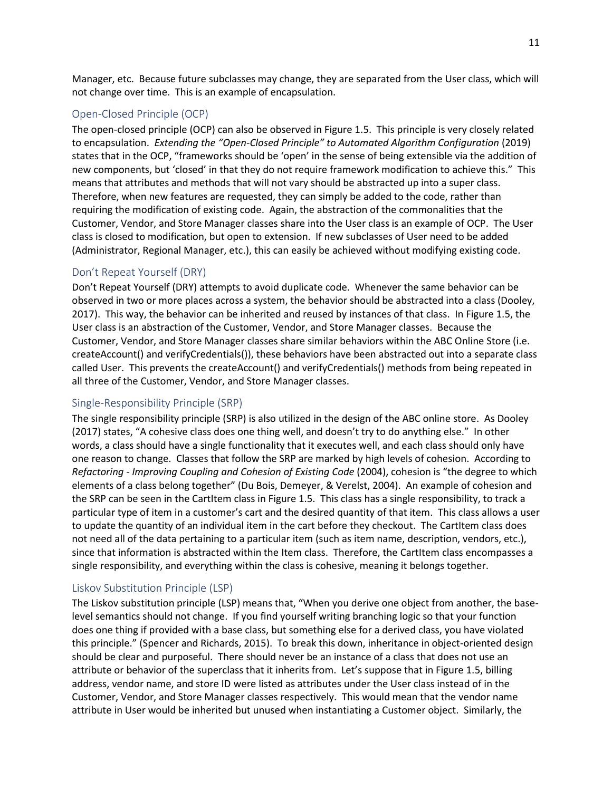Manager, etc. Because future subclasses may change, they are separated from the User class, which will not change over time. This is an example of encapsulation.

### Open-Closed Principle (OCP)

The open-closed principle (OCP) can also be observed in Figure 1.5. This principle is very closely related to encapsulation. *Extending the "Open-Closed Principle" to Automated Algorithm Configuration* (2019) states that in the OCP, "frameworks should be 'open' in the sense of being extensible via the addition of new components, but 'closed' in that they do not require framework modification to achieve this." This means that attributes and methods that will not vary should be abstracted up into a super class. Therefore, when new features are requested, they can simply be added to the code, rather than requiring the modification of existing code. Again, the abstraction of the commonalities that the Customer, Vendor, and Store Manager classes share into the User class is an example of OCP. The User class is closed to modification, but open to extension. If new subclasses of User need to be added (Administrator, Regional Manager, etc.), this can easily be achieved without modifying existing code.

### Don't Repeat Yourself (DRY)

Don't Repeat Yourself (DRY) attempts to avoid duplicate code. Whenever the same behavior can be observed in two or more places across a system, the behavior should be abstracted into a class (Dooley, 2017). This way, the behavior can be inherited and reused by instances of that class. In Figure 1.5, the User class is an abstraction of the Customer, Vendor, and Store Manager classes. Because the Customer, Vendor, and Store Manager classes share similar behaviors within the ABC Online Store (i.e. createAccount() and verifyCredentials()), these behaviors have been abstracted out into a separate class called User. This prevents the createAccount() and verifyCredentials() methods from being repeated in all three of the Customer, Vendor, and Store Manager classes.

## Single-Responsibility Principle (SRP)

The single responsibility principle (SRP) is also utilized in the design of the ABC online store. As Dooley (2017) states, "A cohesive class does one thing well, and doesn't try to do anything else." In other words, a class should have a single functionality that it executes well, and each class should only have one reason to change. Classes that follow the SRP are marked by high levels of cohesion. According to *Refactoring - Improving Coupling and Cohesion of Existing Code* (2004), cohesion is "the degree to which elements of a class belong together" (Du Bois, Demeyer, & Verelst, 2004). An example of cohesion and the SRP can be seen in the CartItem class in Figure 1.5. This class has a single responsibility, to track a particular type of item in a customer's cart and the desired quantity of that item. This class allows a user to update the quantity of an individual item in the cart before they checkout. The CartItem class does not need all of the data pertaining to a particular item (such as item name, description, vendors, etc.), since that information is abstracted within the Item class. Therefore, the CartItem class encompasses a single responsibility, and everything within the class is cohesive, meaning it belongs together.

## Liskov Substitution Principle (LSP)

The Liskov substitution principle (LSP) means that, "When you derive one object from another, the baselevel semantics should not change. If you find yourself writing branching logic so that your function does one thing if provided with a base class, but something else for a derived class, you have violated this principle." (Spencer and Richards, 2015). To break this down, inheritance in object-oriented design should be clear and purposeful. There should never be an instance of a class that does not use an attribute or behavior of the superclass that it inherits from. Let's suppose that in Figure 1.5, billing address, vendor name, and store ID were listed as attributes under the User class instead of in the Customer, Vendor, and Store Manager classes respectively. This would mean that the vendor name attribute in User would be inherited but unused when instantiating a Customer object. Similarly, the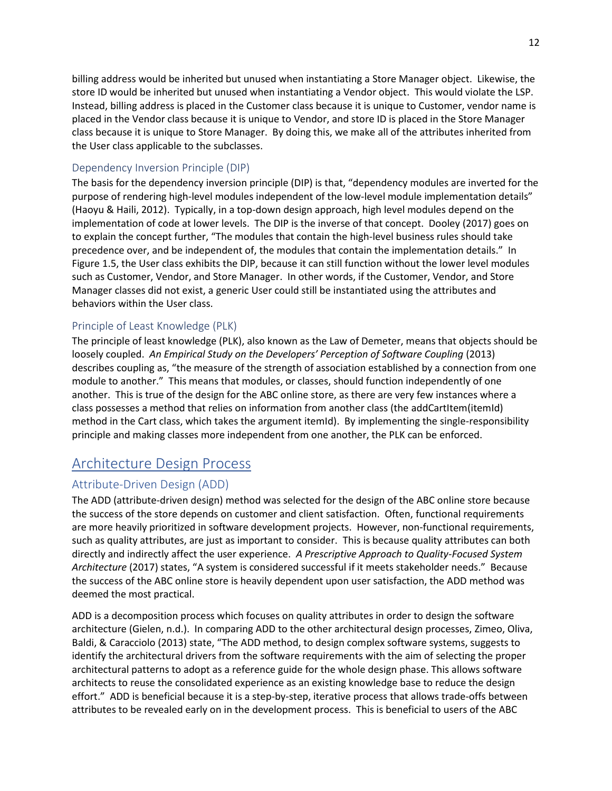billing address would be inherited but unused when instantiating a Store Manager object. Likewise, the store ID would be inherited but unused when instantiating a Vendor object. This would violate the LSP. Instead, billing address is placed in the Customer class because it is unique to Customer, vendor name is placed in the Vendor class because it is unique to Vendor, and store ID is placed in the Store Manager class because it is unique to Store Manager. By doing this, we make all of the attributes inherited from the User class applicable to the subclasses.

### Dependency Inversion Principle (DIP)

The basis for the dependency inversion principle (DIP) is that, "dependency modules are inverted for the purpose of rendering high-level modules independent of the low-level module implementation details" (Haoyu & Haili, 2012). Typically, in a top-down design approach, high level modules depend on the implementation of code at lower levels. The DIP is the inverse of that concept. Dooley (2017) goes on to explain the concept further, "The modules that contain the high-level business rules should take precedence over, and be independent of, the modules that contain the implementation details." In Figure 1.5, the User class exhibits the DIP, because it can still function without the lower level modules such as Customer, Vendor, and Store Manager. In other words, if the Customer, Vendor, and Store Manager classes did not exist, a generic User could still be instantiated using the attributes and behaviors within the User class.

### Principle of Least Knowledge (PLK)

The principle of least knowledge (PLK), also known as the Law of Demeter, means that objects should be loosely coupled. *An Empirical Study on the Developers' Perception of Software Coupling* (2013) describes coupling as, "the measure of the strength of association established by a connection from one module to another." This means that modules, or classes, should function independently of one another. This is true of the design for the ABC online store, as there are very few instances where a class possesses a method that relies on information from another class (the addCartItem(itemId) method in the Cart class, which takes the argument itemId). By implementing the single-responsibility principle and making classes more independent from one another, the PLK can be enforced.

# <span id="page-11-0"></span>Architecture Design Process

## Attribute-Driven Design (ADD)

The ADD (attribute-driven design) method was selected for the design of the ABC online store because the success of the store depends on customer and client satisfaction. Often, functional requirements are more heavily prioritized in software development projects. However, non-functional requirements, such as quality attributes, are just as important to consider. This is because quality attributes can both directly and indirectly affect the user experience. *A Prescriptive Approach to Quality-Focused System Architecture* (2017) states, "A system is considered successful if it meets stakeholder needs." Because the success of the ABC online store is heavily dependent upon user satisfaction, the ADD method was deemed the most practical.

ADD is a decomposition process which focuses on quality attributes in order to design the software architecture (Gielen, n.d.). In comparing ADD to the other architectural design processes, Zimeo, Oliva, Baldi, & Caracciolo (2013) state, "The ADD method, to design complex software systems, suggests to identify the architectural drivers from the software requirements with the aim of selecting the proper architectural patterns to adopt as a reference guide for the whole design phase. This allows software architects to reuse the consolidated experience as an existing knowledge base to reduce the design effort." ADD is beneficial because it is a step-by-step, iterative process that allows trade-offs between attributes to be revealed early on in the development process. This is beneficial to users of the ABC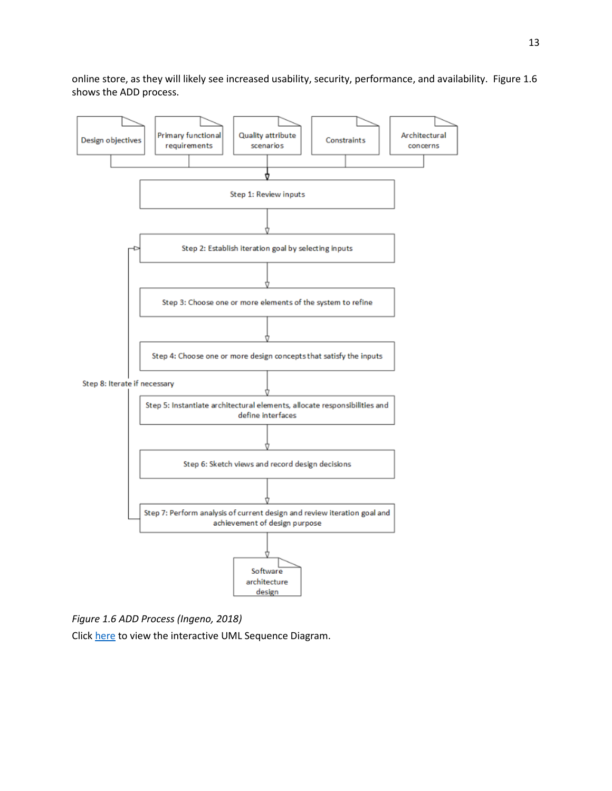online store, as they will likely see increased usability, security, performance, and availability. Figure 1.6 shows the ADD process.



*Figure 1.6 ADD Process (Ingeno, 2018)*

Click [here](https://drive.google.com/file/d/14ID7wf5veWfjs-HhNMrnSKqFbe1kMEK6/view?usp=sharing) to view the interactive UML Sequence Diagram.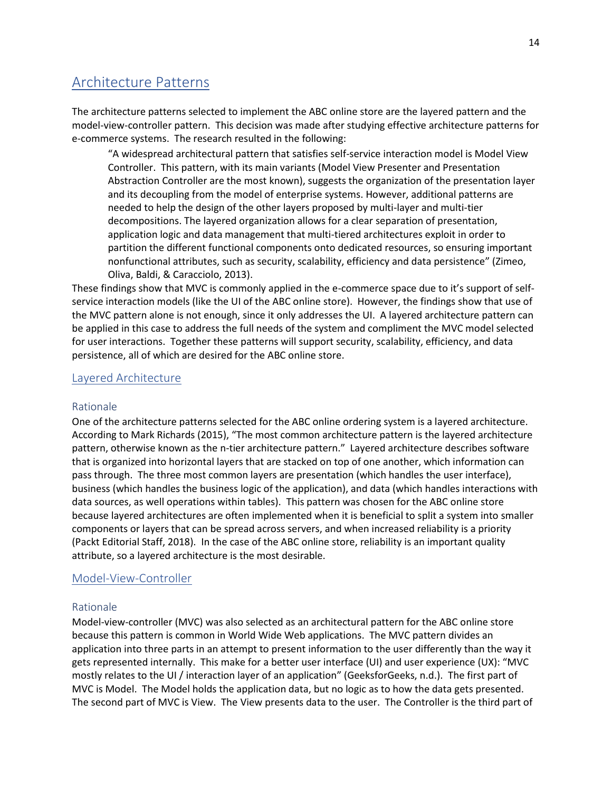# <span id="page-13-0"></span>Architecture Patterns

The architecture patterns selected to implement the ABC online store are the layered pattern and the model-view-controller pattern. This decision was made after studying effective architecture patterns for e-commerce systems. The research resulted in the following:

"A widespread architectural pattern that satisfies self-service interaction model is Model View Controller. This pattern, with its main variants (Model View Presenter and Presentation Abstraction Controller are the most known), suggests the organization of the presentation layer and its decoupling from the model of enterprise systems. However, additional patterns are needed to help the design of the other layers proposed by multi-layer and multi-tier decompositions. The layered organization allows for a clear separation of presentation, application logic and data management that multi-tiered architectures exploit in order to partition the different functional components onto dedicated resources, so ensuring important nonfunctional attributes, such as security, scalability, efficiency and data persistence" (Zimeo, Oliva, Baldi, & Caracciolo, 2013).

These findings show that MVC is commonly applied in the e-commerce space due to it's support of selfservice interaction models (like the UI of the ABC online store). However, the findings show that use of the MVC pattern alone is not enough, since it only addresses the UI. A layered architecture pattern can be applied in this case to address the full needs of the system and compliment the MVC model selected for user interactions. Together these patterns will support security, scalability, efficiency, and data persistence, all of which are desired for the ABC online store.

### Layered Architecture

#### Rationale

One of the architecture patterns selected for the ABC online ordering system is a layered architecture. According to Mark Richards (2015), "The most common architecture pattern is the layered architecture pattern, otherwise known as the n-tier architecture pattern." Layered architecture describes software that is organized into horizontal layers that are stacked on top of one another, which information can pass through. The three most common layers are presentation (which handles the user interface), business (which handles the business logic of the application), and data (which handles interactions with data sources, as well operations within tables). This pattern was chosen for the ABC online store because layered architectures are often implemented when it is beneficial to split a system into smaller components or layers that can be spread across servers, and when increased reliability is a priority (Packt Editorial Staff, 2018). In the case of the ABC online store, reliability is an important quality attribute, so a layered architecture is the most desirable.

#### Model-View-Controller

#### Rationale

Model-view-controller (MVC) was also selected as an architectural pattern for the ABC online store because this pattern is common in World Wide Web applications. The MVC pattern divides an application into three parts in an attempt to present information to the user differently than the way it gets represented internally. This make for a better user interface (UI) and user experience (UX): "MVC mostly relates to the UI / interaction layer of an application" (GeeksforGeeks, n.d.). The first part of MVC is Model. The Model holds the application data, but no logic as to how the data gets presented. The second part of MVC is View. The View presents data to the user. The Controller is the third part of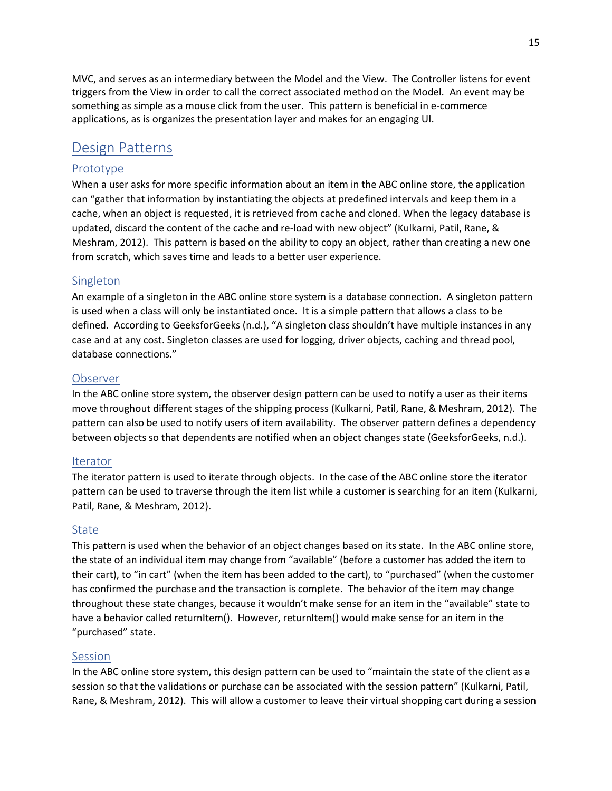MVC, and serves as an intermediary between the Model and the View. The Controller listens for event triggers from the View in order to call the correct associated method on the Model. An event may be something as simple as a mouse click from the user. This pattern is beneficial in e-commerce applications, as is organizes the presentation layer and makes for an engaging UI.

## <span id="page-14-0"></span>Design Patterns

## Prototype

When a user asks for more specific information about an item in the ABC online store, the application can "gather that information by instantiating the objects at predefined intervals and keep them in a cache, when an object is requested, it is retrieved from cache and cloned. When the legacy database is updated, discard the content of the cache and re-load with new object" (Kulkarni, Patil, Rane, & Meshram, 2012). This pattern is based on the ability to copy an object, rather than creating a new one from scratch, which saves time and leads to a better user experience.

### Singleton

An example of a singleton in the ABC online store system is a database connection. A singleton pattern is used when a class will only be instantiated once. It is a simple pattern that allows a class to be defined. According to GeeksforGeeks (n.d.), "A singleton class shouldn't have multiple instances in any case and at any cost. Singleton classes are used for logging, driver objects, caching and thread pool, database connections."

#### Observer

In the ABC online store system, the observer design pattern can be used to notify a user as their items move throughout different stages of the shipping process (Kulkarni, Patil, Rane, & Meshram, 2012). The pattern can also be used to notify users of item availability. The observer pattern defines a dependency between objects so that dependents are notified when an object changes state (GeeksforGeeks, n.d.).

### Iterator

The iterator pattern is used to iterate through objects. In the case of the ABC online store the iterator pattern can be used to traverse through the item list while a customer is searching for an item (Kulkarni, Patil, Rane, & Meshram, 2012).

### State

This pattern is used when the behavior of an object changes based on its state. In the ABC online store, the state of an individual item may change from "available" (before a customer has added the item to their cart), to "in cart" (when the item has been added to the cart), to "purchased" (when the customer has confirmed the purchase and the transaction is complete. The behavior of the item may change throughout these state changes, because it wouldn't make sense for an item in the "available" state to have a behavior called returnItem(). However, returnItem() would make sense for an item in the "purchased" state.

### Session

In the ABC online store system, this design pattern can be used to "maintain the state of the client as a session so that the validations or purchase can be associated with the session pattern" (Kulkarni, Patil, Rane, & Meshram, 2012). This will allow a customer to leave their virtual shopping cart during a session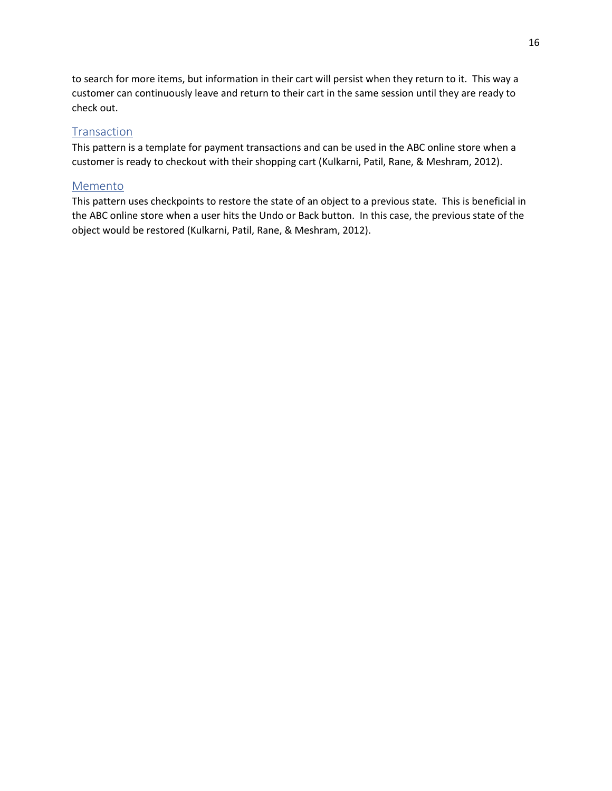to search for more items, but information in their cart will persist when they return to it. This way a customer can continuously leave and return to their cart in the same session until they are ready to check out.

### **Transaction**

This pattern is a template for payment transactions and can be used in the ABC online store when a customer is ready to checkout with their shopping cart (Kulkarni, Patil, Rane, & Meshram, 2012).

### Memento

This pattern uses checkpoints to restore the state of an object to a previous state. This is beneficial in the ABC online store when a user hits the Undo or Back button. In this case, the previous state of the object would be restored (Kulkarni, Patil, Rane, & Meshram, 2012).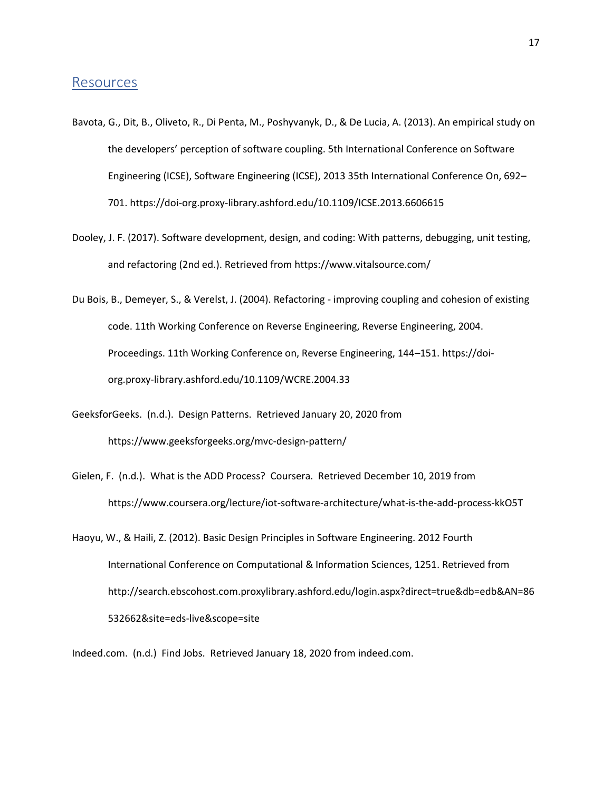### <span id="page-16-0"></span>Resources

- Bavota, G., Dit, B., Oliveto, R., Di Penta, M., Poshyvanyk, D., & De Lucia, A. (2013). An empirical study on the developers' perception of software coupling. 5th International Conference on Software Engineering (ICSE), Software Engineering (ICSE), 2013 35th International Conference On, 692– 701. https://doi-org.proxy-library.ashford.edu/10.1109/ICSE.2013.6606615
- Dooley, J. F. (2017). Software development, design, and coding: With patterns, debugging, unit testing, and refactoring (2nd ed.). Retrieved from https://www.vitalsource.com/
- Du Bois, B., Demeyer, S., & Verelst, J. (2004). Refactoring improving coupling and cohesion of existing code. 11th Working Conference on Reverse Engineering, Reverse Engineering, 2004. Proceedings. 11th Working Conference on, Reverse Engineering, 144–151. https://doiorg.proxy-library.ashford.edu/10.1109/WCRE.2004.33
- GeeksforGeeks. (n.d.). Design Patterns. Retrieved January 20, 2020 from https://www.geeksforgeeks.org/mvc-design-pattern/
- Gielen, F. (n.d.). What is the ADD Process? Coursera. Retrieved December 10, 2019 from https://www.coursera.org/lecture/iot-software-architecture/what-is-the-add-process-kkO5T
- Haoyu, W., & Haili, Z. (2012). Basic Design Principles in Software Engineering. 2012 Fourth International Conference on Computational & Information Sciences, 1251. Retrieved from http://search.ebscohost.com.proxylibrary.ashford.edu/login.aspx?direct=true&db=edb&AN=86 532662&site=eds-live&scope=site

Indeed.com. (n.d.) Find Jobs. Retrieved January 18, 2020 from indeed.com.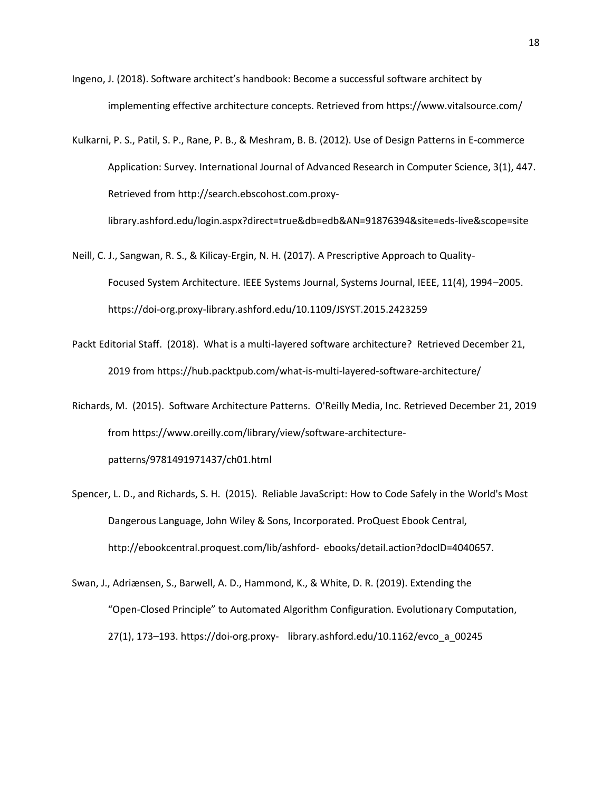- Ingeno, J. (2018). Software architect's handbook: Become a successful software architect by implementing effective architecture concepts. Retrieved from https://www.vitalsource.com/
- Kulkarni, P. S., Patil, S. P., Rane, P. B., & Meshram, B. B. (2012). Use of Design Patterns in E-commerce Application: Survey. International Journal of Advanced Research in Computer Science, 3(1), 447. Retrieved from http://search.ebscohost.com.proxy-

library.ashford.edu/login.aspx?direct=true&db=edb&AN=91876394&site=eds-live&scope=site

- Neill, C. J., Sangwan, R. S., & Kilicay-Ergin, N. H. (2017). A Prescriptive Approach to Quality-Focused System Architecture. IEEE Systems Journal, Systems Journal, IEEE, 11(4), 1994–2005. https://doi-org.proxy-library.ashford.edu/10.1109/JSYST.2015.2423259
- Packt Editorial Staff. (2018). What is a multi-layered software architecture? Retrieved December 21, 2019 from https://hub.packtpub.com/what-is-multi-layered-software-architecture/
- Richards, M. (2015). Software Architecture Patterns. O'Reilly Media, Inc. Retrieved December 21, 2019 from https://www.oreilly.com/library/view/software-architecturepatterns/9781491971437/ch01.html
- Spencer, L. D., and Richards, S. H. (2015). Reliable JavaScript: How to Code Safely in the World's Most Dangerous Language, John Wiley & Sons, Incorporated. ProQuest Ebook Central, http://ebookcentral.proquest.com/lib/ashford- ebooks/detail.action?docID=4040657.
- Swan, J., Adriænsen, S., Barwell, A. D., Hammond, K., & White, D. R. (2019). Extending the "Open-Closed Principle" to Automated Algorithm Configuration. Evolutionary Computation, 27(1), 173–193. https://doi-org.proxy- library.ashford.edu/10.1162/evco\_a\_00245